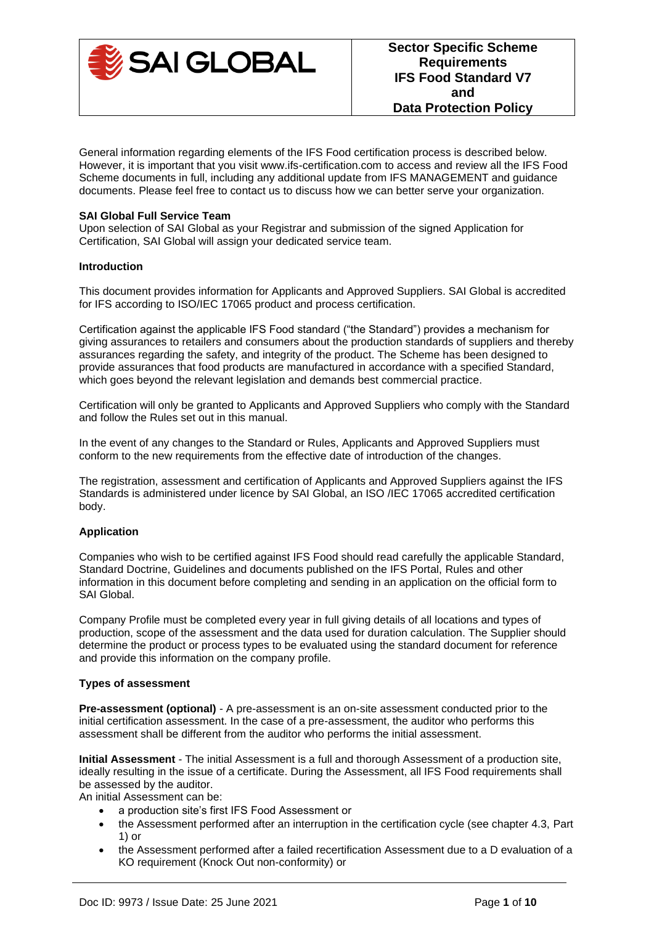

General information regarding elements of the IFS Food certification process is described below. However, it is important that you visit www.ifs-certification.com to access and review all the IFS Food Scheme documents in full, including any additional update from IFS MANAGEMENT and guidance documents. Please feel free to contact us to discuss how we can better serve your organization.

### **SAI Global Full Service Team**

Upon selection of SAI Global as your Registrar and submission of the signed Application for Certification, SAI Global will assign your dedicated service team.

#### **Introduction**

This document provides information for Applicants and Approved Suppliers. SAI Global is accredited for IFS according to ISO/IEC 17065 product and process certification.

Certification against the applicable IFS Food standard ("the Standard") provides a mechanism for giving assurances to retailers and consumers about the production standards of suppliers and thereby assurances regarding the safety, and integrity of the product. The Scheme has been designed to provide assurances that food products are manufactured in accordance with a specified Standard, which goes beyond the relevant legislation and demands best commercial practice.

Certification will only be granted to Applicants and Approved Suppliers who comply with the Standard and follow the Rules set out in this manual.

In the event of any changes to the Standard or Rules, Applicants and Approved Suppliers must conform to the new requirements from the effective date of introduction of the changes.

The registration, assessment and certification of Applicants and Approved Suppliers against the IFS Standards is administered under licence by SAI Global, an ISO /IEC 17065 accredited certification body.

# **Application**

Companies who wish to be certified against IFS Food should read carefully the applicable Standard, Standard Doctrine, Guidelines and documents published on the IFS Portal, Rules and other information in this document before completing and sending in an application on the official form to SAI Global.

Company Profile must be completed every year in full giving details of all locations and types of production, scope of the assessment and the data used for duration calculation. The Supplier should determine the product or process types to be evaluated using the standard document for reference and provide this information on the company profile.

#### **Types of assessment**

**Pre-assessment (optional)** - A pre-assessment is an on-site assessment conducted prior to the initial certification assessment. In the case of a pre-assessment, the auditor who performs this assessment shall be different from the auditor who performs the initial assessment.

**Initial Assessment** - The initial Assessment is a full and thorough Assessment of a production site, ideally resulting in the issue of a certificate. During the Assessment, all IFS Food requirements shall be assessed by the auditor.

An initial Assessment can be:

- a production site's first IFS Food Assessment or
- the Assessment performed after an interruption in the certification cycle (see chapter 4.3, Part 1) or
- the Assessment performed after a failed recertification Assessment due to a D evaluation of a KO requirement (Knock Out non-conformity) or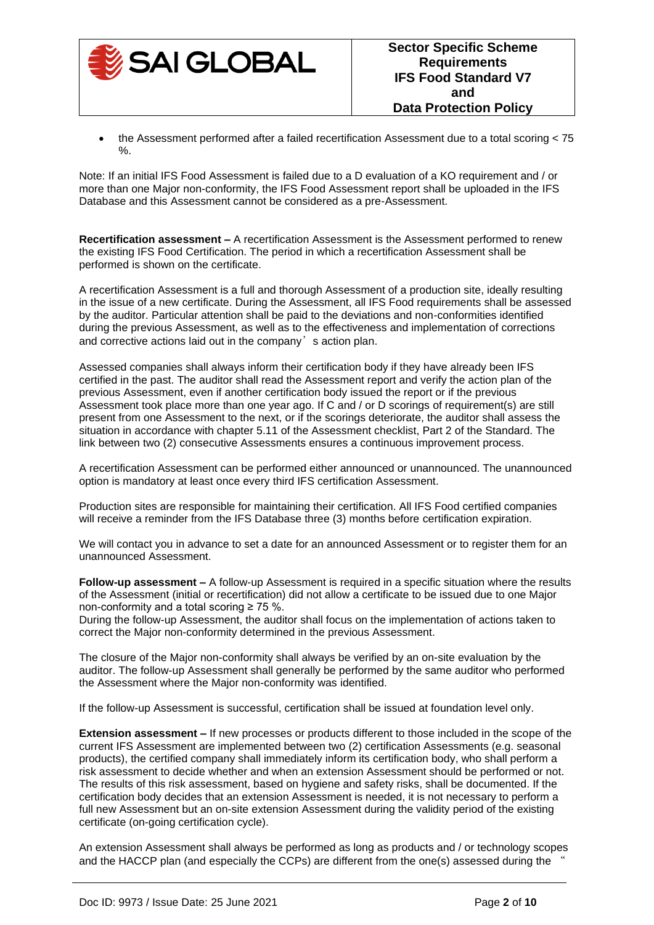

• the Assessment performed after a failed recertification Assessment due to a total scoring < 75 %.

Note: If an initial IFS Food Assessment is failed due to a D evaluation of a KO requirement and / or more than one Major non-conformity, the IFS Food Assessment report shall be uploaded in the IFS Database and this Assessment cannot be considered as a pre-Assessment.

**Recertification assessment –** A recertification Assessment is the Assessment performed to renew the existing IFS Food Certification. The period in which a recertification Assessment shall be performed is shown on the certificate.

A recertification Assessment is a full and thorough Assessment of a production site, ideally resulting in the issue of a new certificate. During the Assessment, all IFS Food requirements shall be assessed by the auditor. Particular attention shall be paid to the deviations and non-conformities identified during the previous Assessment, as well as to the effectiveness and implementation of corrections and corrective actions laid out in the company's action plan.

Assessed companies shall always inform their certification body if they have already been IFS certified in the past. The auditor shall read the Assessment report and verify the action plan of the previous Assessment, even if another certification body issued the report or if the previous Assessment took place more than one year ago. If C and / or D scorings of requirement(s) are still present from one Assessment to the next, or if the scorings deteriorate, the auditor shall assess the situation in accordance with chapter 5.11 of the Assessment checklist, Part 2 of the Standard. The link between two (2) consecutive Assessments ensures a continuous improvement process.

A recertification Assessment can be performed either announced or unannounced. The unannounced option is mandatory at least once every third IFS certification Assessment.

Production sites are responsible for maintaining their certification. All IFS Food certified companies will receive a reminder from the IFS Database three (3) months before certification expiration.

We will contact you in advance to set a date for an announced Assessment or to register them for an unannounced Assessment.

**Follow-up assessment –** A follow-up Assessment is required in a specific situation where the results of the Assessment (initial or recertification) did not allow a certificate to be issued due to one Major non-conformity and a total scoring ≥ 75 %.

During the follow-up Assessment, the auditor shall focus on the implementation of actions taken to correct the Major non-conformity determined in the previous Assessment.

The closure of the Major non-conformity shall always be verified by an on-site evaluation by the auditor. The follow-up Assessment shall generally be performed by the same auditor who performed the Assessment where the Major non-conformity was identified.

If the follow-up Assessment is successful, certification shall be issued at foundation level only.

**Extension assessment –** If new processes or products different to those included in the scope of the current IFS Assessment are implemented between two (2) certification Assessments (e.g. seasonal products), the certified company shall immediately inform its certification body, who shall perform a risk assessment to decide whether and when an extension Assessment should be performed or not. The results of this risk assessment, based on hygiene and safety risks, shall be documented. If the certification body decides that an extension Assessment is needed, it is not necessary to perform a full new Assessment but an on-site extension Assessment during the validity period of the existing certificate (on-going certification cycle).

An extension Assessment shall always be performed as long as products and / or technology scopes and the HACCP plan (and especially the CCPs) are different from the one(s) assessed during the "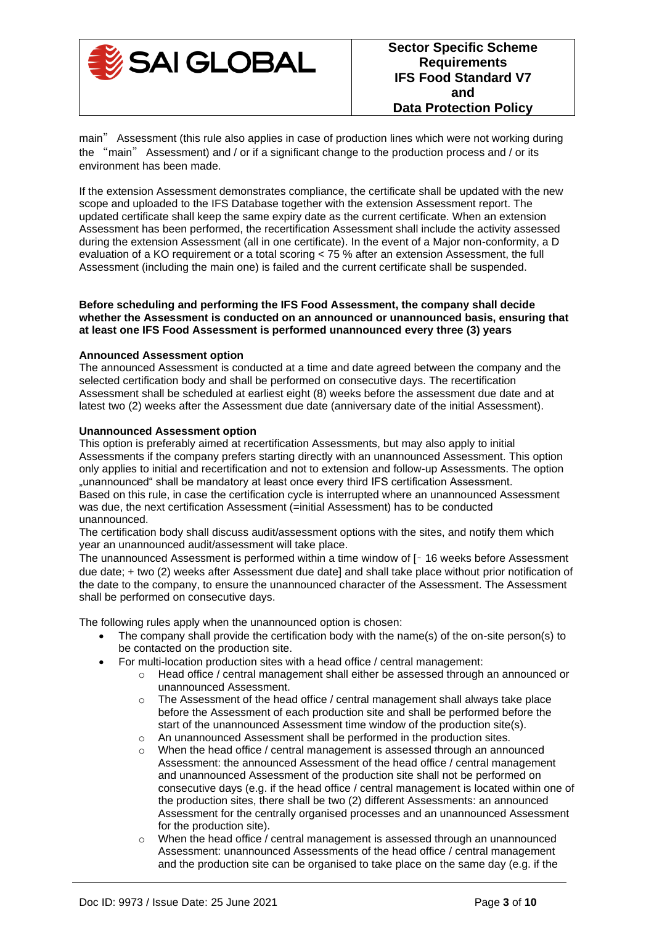

main" Assessment (this rule also applies in case of production lines which were not working during the "main" Assessment) and / or if a significant change to the production process and / or its environment has been made.

If the extension Assessment demonstrates compliance, the certificate shall be updated with the new scope and uploaded to the IFS Database together with the extension Assessment report. The updated certificate shall keep the same expiry date as the current certificate. When an extension Assessment has been performed, the recertification Assessment shall include the activity assessed during the extension Assessment (all in one certificate). In the event of a Major non-conformity, a D evaluation of a KO requirement or a total scoring < 75 % after an extension Assessment, the full Assessment (including the main one) is failed and the current certificate shall be suspended.

#### **Before scheduling and performing the IFS Food Assessment, the company shall decide whether the Assessment is conducted on an announced or unannounced basis, ensuring that at least one IFS Food Assessment is performed unannounced every three (3) years**

### **Announced Assessment option**

The announced Assessment is conducted at a time and date agreed between the company and the selected certification body and shall be performed on consecutive days. The recertification Assessment shall be scheduled at earliest eight (8) weeks before the assessment due date and at latest two (2) weeks after the Assessment due date (anniversary date of the initial Assessment).

#### **Unannounced Assessment option**

This option is preferably aimed at recertification Assessments, but may also apply to initial Assessments if the company prefers starting directly with an unannounced Assessment. This option only applies to initial and recertification and not to extension and follow-up Assessments. The option "unannounced" shall be mandatory at least once every third IFS certification Assessment. Based on this rule, in case the certification cycle is interrupted where an unannounced Assessment was due, the next certification Assessment (=initial Assessment) has to be conducted unannounced.

The certification body shall discuss audit/assessment options with the sites, and notify them which year an unannounced audit/assessment will take place.

The unannounced Assessment is performed within a time window of [– 16 weeks before Assessment due date; + two (2) weeks after Assessment due date] and shall take place without prior notification of the date to the company, to ensure the unannounced character of the Assessment. The Assessment shall be performed on consecutive days.

The following rules apply when the unannounced option is chosen:

- The company shall provide the certification body with the name(s) of the on-site person(s) to be contacted on the production site.
- For multi-location production sites with a head office / central management:
	- o Head office / central management shall either be assessed through an announced or unannounced Assessment.
	- $\circ$  The Assessment of the head office / central management shall always take place before the Assessment of each production site and shall be performed before the start of the unannounced Assessment time window of the production site(s).
	- o An unannounced Assessment shall be performed in the production sites.
	- When the head office / central management is assessed through an announced Assessment: the announced Assessment of the head office / central management and unannounced Assessment of the production site shall not be performed on consecutive days (e.g. if the head office / central management is located within one of the production sites, there shall be two (2) different Assessments: an announced Assessment for the centrally organised processes and an unannounced Assessment for the production site).
	- $\circ$  When the head office / central management is assessed through an unannounced Assessment: unannounced Assessments of the head office / central management and the production site can be organised to take place on the same day (e.g. if the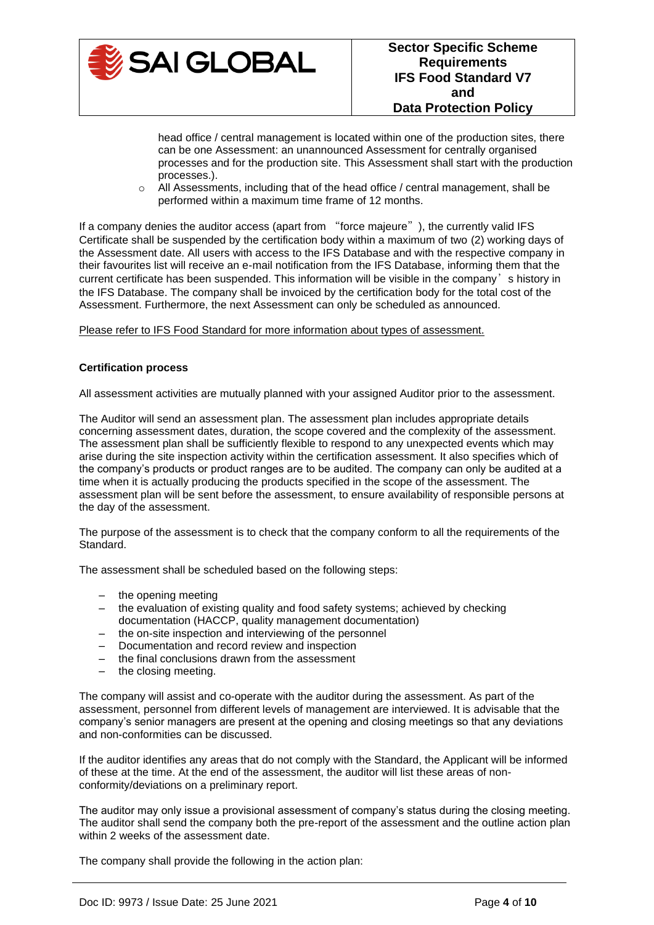

head office / central management is located within one of the production sites, there can be one Assessment: an unannounced Assessment for centrally organised processes and for the production site. This Assessment shall start with the production processes.).

 $\circ$  All Assessments, including that of the head office / central management, shall be performed within a maximum time frame of 12 months.

If a company denies the auditor access (apart from "force majeure"), the currently valid IFS Certificate shall be suspended by the certification body within a maximum of two (2) working days of the Assessment date. All users with access to the IFS Database and with the respective company in their favourites list will receive an e-mail notification from the IFS Database, informing them that the current certificate has been suspended. This information will be visible in the company's history in the IFS Database. The company shall be invoiced by the certification body for the total cost of the Assessment. Furthermore, the next Assessment can only be scheduled as announced.

Please refer to IFS Food Standard for more information about types of assessment.

### **Certification process**

All assessment activities are mutually planned with your assigned Auditor prior to the assessment.

The Auditor will send an assessment plan. The assessment plan includes appropriate details concerning assessment dates, duration, the scope covered and the complexity of the assessment. The assessment plan shall be sufficiently flexible to respond to any unexpected events which may arise during the site inspection activity within the certification assessment. It also specifies which of the company's products or product ranges are to be audited. The company can only be audited at a time when it is actually producing the products specified in the scope of the assessment. The assessment plan will be sent before the assessment, to ensure availability of responsible persons at the day of the assessment.

The purpose of the assessment is to check that the company conform to all the requirements of the Standard.

The assessment shall be scheduled based on the following steps:

- the opening meeting
- the evaluation of existing quality and food safety systems; achieved by checking documentation (HACCP, quality management documentation)
- the on-site inspection and interviewing of the personnel
- Documentation and record review and inspection
- the final conclusions drawn from the assessment
- the closing meeting.

The company will assist and co-operate with the auditor during the assessment. As part of the assessment, personnel from different levels of management are interviewed. It is advisable that the company's senior managers are present at the opening and closing meetings so that any deviations and non-conformities can be discussed.

If the auditor identifies any areas that do not comply with the Standard, the Applicant will be informed of these at the time. At the end of the assessment, the auditor will list these areas of nonconformity/deviations on a preliminary report.

The auditor may only issue a provisional assessment of company's status during the closing meeting. The auditor shall send the company both the pre-report of the assessment and the outline action plan within 2 weeks of the assessment date.

The company shall provide the following in the action plan: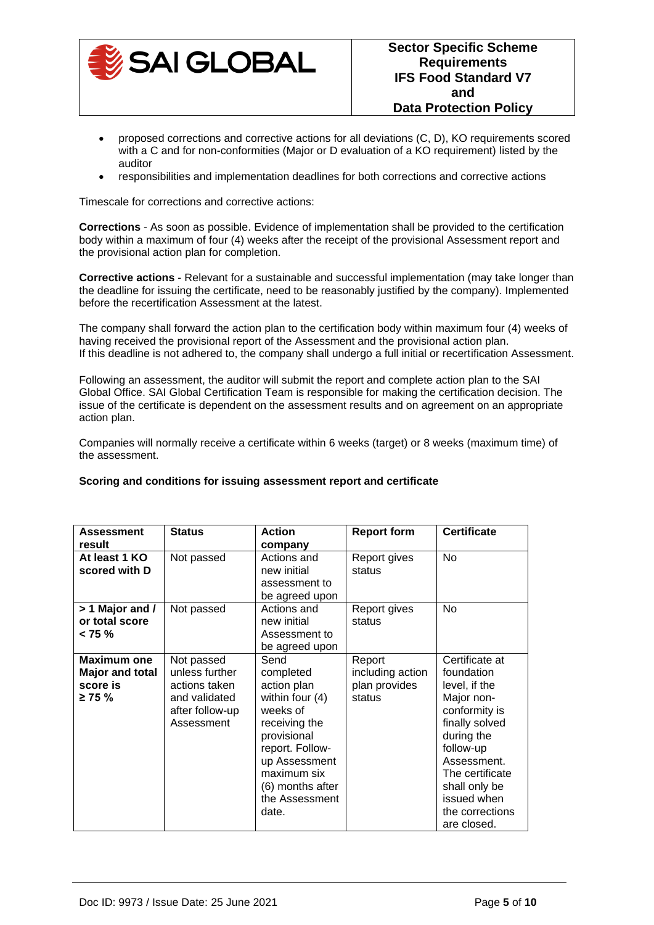

- proposed corrections and corrective actions for all deviations (C, D), KO requirements scored with a C and for non-conformities (Major or D evaluation of a KO requirement) listed by the auditor
- responsibilities and implementation deadlines for both corrections and corrective actions

Timescale for corrections and corrective actions:

**Corrections** - As soon as possible. Evidence of implementation shall be provided to the certification body within a maximum of four (4) weeks after the receipt of the provisional Assessment report and the provisional action plan for completion.

**Corrective actions** - Relevant for a sustainable and successful implementation (may take longer than the deadline for issuing the certificate, need to be reasonably justified by the company). Implemented before the recertification Assessment at the latest.

The company shall forward the action plan to the certification body within maximum four (4) weeks of having received the provisional report of the Assessment and the provisional action plan. If this deadline is not adhered to, the company shall undergo a full initial or recertification Assessment.

Following an assessment, the auditor will submit the report and complete action plan to the SAI Global Office. SAI Global Certification Team is responsible for making the certification decision. The issue of the certificate is dependent on the assessment results and on agreement on an appropriate action plan.

Companies will normally receive a certificate within 6 weeks (target) or 8 weeks (maximum time) of the assessment.

#### **Scoring and conditions for issuing assessment report and certificate**

| <b>Assessment</b><br>result                                | <b>Status</b>                                                                                   | <b>Action</b><br>company                                                                                                                                                                          | <b>Report form</b>                                    | <b>Certificate</b>                                                                                                                                                                                                            |
|------------------------------------------------------------|-------------------------------------------------------------------------------------------------|---------------------------------------------------------------------------------------------------------------------------------------------------------------------------------------------------|-------------------------------------------------------|-------------------------------------------------------------------------------------------------------------------------------------------------------------------------------------------------------------------------------|
| At least 1 KO<br>scored with D                             | Not passed                                                                                      | Actions and<br>new initial<br>assessment to<br>be agreed upon                                                                                                                                     | Report gives<br>status                                | No.                                                                                                                                                                                                                           |
| $> 1$ Major and /<br>or total score<br>< 75 %              | Not passed                                                                                      | Actions and<br>new initial<br>Assessment to<br>be agreed upon                                                                                                                                     | Report gives<br>status                                | <b>No</b>                                                                                                                                                                                                                     |
| Maximum one<br>Major and total<br>score is<br>$\geq 75 \%$ | Not passed<br>unless further<br>actions taken<br>and validated<br>after follow-up<br>Assessment | Send<br>completed<br>action plan<br>within four (4)<br>weeks of<br>receiving the<br>provisional<br>report. Follow-<br>up Assessment<br>maximum six<br>(6) months after<br>the Assessment<br>date. | Report<br>including action<br>plan provides<br>status | Certificate at<br>foundation<br>level, if the<br>Major non-<br>conformity is<br>finally solved<br>during the<br>follow-up<br>Assessment.<br>The certificate<br>shall only be<br>issued when<br>the corrections<br>are closed. |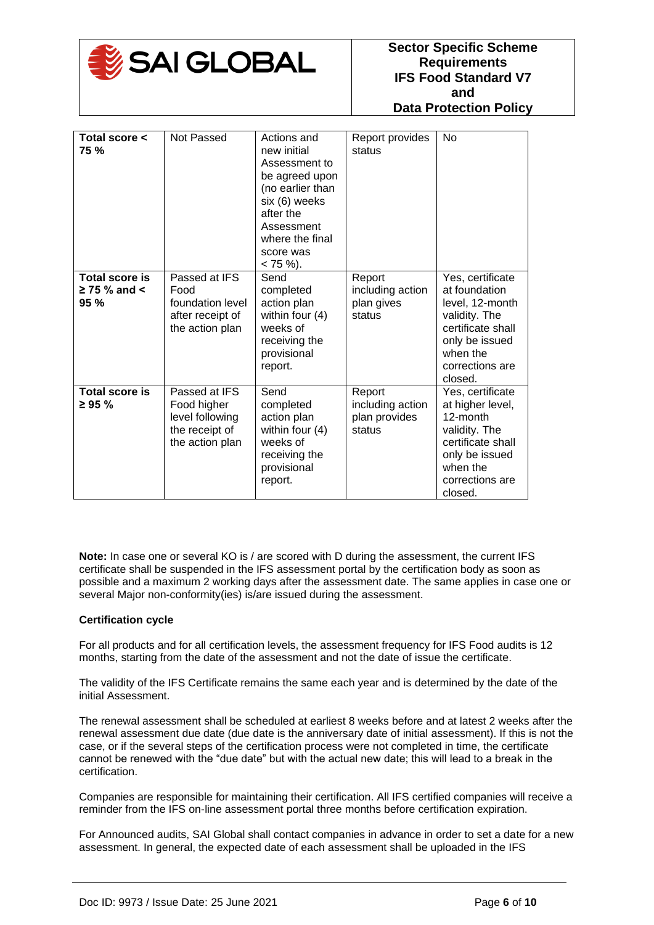

| Total score <<br><b>75 %</b>                      | Not Passed                                                                           | Actions and<br>new initial<br>Assessment to<br>be agreed upon<br>(no earlier than<br>six (6) weeks<br>after the<br>Assessment<br>where the final<br>score was<br>$< 75 \%$ ). | Report provides<br>status                             | <b>No</b>                                                                                                                                              |
|---------------------------------------------------|--------------------------------------------------------------------------------------|-------------------------------------------------------------------------------------------------------------------------------------------------------------------------------|-------------------------------------------------------|--------------------------------------------------------------------------------------------------------------------------------------------------------|
| <b>Total score is</b><br>$\geq$ 75 % and <<br>95% | Passed at IFS<br>Food<br>foundation level<br>after receipt of<br>the action plan     | Send<br>completed<br>action plan<br>within four (4)<br>weeks of<br>receiving the<br>provisional<br>report.                                                                    | Report<br>including action<br>plan gives<br>status    | Yes, certificate<br>at foundation<br>level, 12-month<br>validity. The<br>certificate shall<br>only be issued<br>when the<br>corrections are<br>closed. |
| <b>Total score is</b><br>$\geq 95 \%$             | Passed at IFS<br>Food higher<br>level following<br>the receipt of<br>the action plan | Send<br>completed<br>action plan<br>within four (4)<br>weeks of<br>receiving the<br>provisional<br>report.                                                                    | Report<br>including action<br>plan provides<br>status | Yes, certificate<br>at higher level,<br>12-month<br>validity. The<br>certificate shall<br>only be issued<br>when the<br>corrections are<br>closed.     |

**Note:** In case one or several KO is / are scored with D during the assessment, the current IFS certificate shall be suspended in the IFS assessment portal by the certification body as soon as possible and a maximum 2 working days after the assessment date. The same applies in case one or several Major non-conformity(ies) is/are issued during the assessment.

## **Certification cycle**

For all products and for all certification levels, the assessment frequency for IFS Food audits is 12 months, starting from the date of the assessment and not the date of issue the certificate.

The validity of the IFS Certificate remains the same each year and is determined by the date of the initial Assessment.

The renewal assessment shall be scheduled at earliest 8 weeks before and at latest 2 weeks after the renewal assessment due date (due date is the anniversary date of initial assessment). If this is not the case, or if the several steps of the certification process were not completed in time, the certificate cannot be renewed with the "due date" but with the actual new date; this will lead to a break in the certification.

Companies are responsible for maintaining their certification. All IFS certified companies will receive a reminder from the IFS on-line assessment portal three months before certification expiration.

For Announced audits, SAI Global shall contact companies in advance in order to set a date for a new assessment. In general, the expected date of each assessment shall be uploaded in the IFS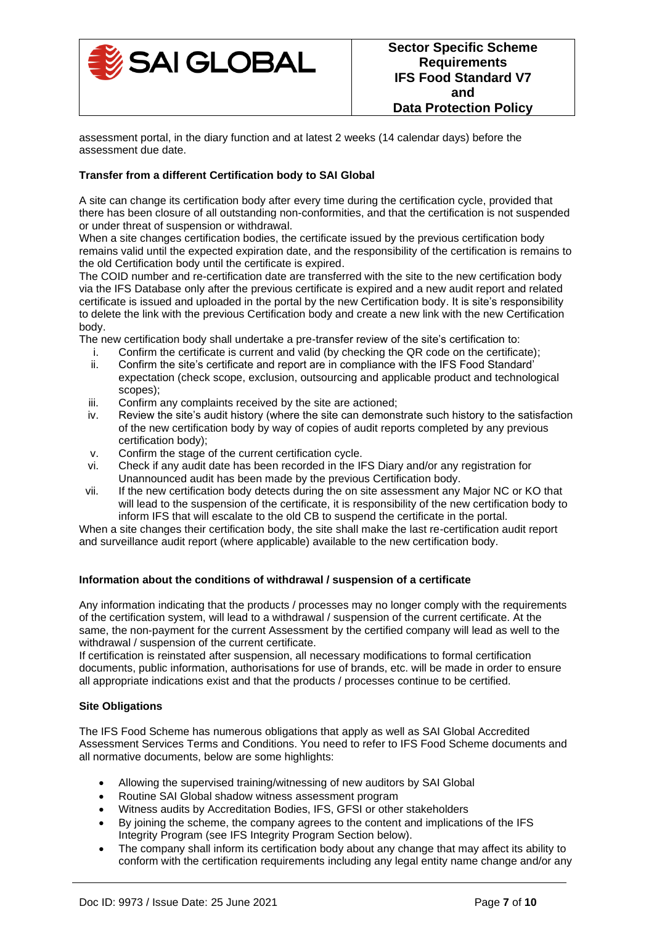

assessment portal, in the diary function and at latest 2 weeks (14 calendar days) before the assessment due date.

# **Transfer from a different Certification body to SAI Global**

A site can change its certification body after every time during the certification cycle, provided that there has been closure of all outstanding non-conformities, and that the certification is not suspended or under threat of suspension or withdrawal.

When a site changes certification bodies, the certificate issued by the previous certification body remains valid until the expected expiration date, and the responsibility of the certification is remains to the old Certification body until the certificate is expired.

The COID number and re-certification date are transferred with the site to the new certification body via the IFS Database only after the previous certificate is expired and a new audit report and related certificate is issued and uploaded in the portal by the new Certification body. It is site's responsibility to delete the link with the previous Certification body and create a new link with the new Certification body.

The new certification body shall undertake a pre-transfer review of the site's certification to:

- i. Confirm the certificate is current and valid (by checking the QR code on the certificate);
- ii. Confirm the site's certificate and report are in compliance with the IFS Food Standard' expectation (check scope, exclusion, outsourcing and applicable product and technological scopes);
- iii. Confirm any complaints received by the site are actioned;
- iv. Review the site's audit history (where the site can demonstrate such history to the satisfaction of the new certification body by way of copies of audit reports completed by any previous certification body);
- v. Confirm the stage of the current certification cycle.
- vi. Check if any audit date has been recorded in the IFS Diary and/or any registration for Unannounced audit has been made by the previous Certification body.
- vii. If the new certification body detects during the on site assessment any Major NC or KO that will lead to the suspension of the certificate, it is responsibility of the new certification body to inform IFS that will escalate to the old CB to suspend the certificate in the portal.

When a site changes their certification body, the site shall make the last re-certification audit report and surveillance audit report (where applicable) available to the new certification body.

## **Information about the conditions of withdrawal / suspension of a certificate**

Any information indicating that the products / processes may no longer comply with the requirements of the certification system, will lead to a withdrawal / suspension of the current certificate. At the same, the non-payment for the current Assessment by the certified company will lead as well to the withdrawal / suspension of the current certificate.

If certification is reinstated after suspension, all necessary modifications to formal certification documents, public information, authorisations for use of brands, etc. will be made in order to ensure all appropriate indications exist and that the products / processes continue to be certified.

## **Site Obligations**

The IFS Food Scheme has numerous obligations that apply as well as SAI Global Accredited Assessment Services Terms and Conditions. You need to refer to IFS Food Scheme documents and all normative documents, below are some highlights:

- Allowing the supervised training/witnessing of new auditors by SAI Global
- Routine SAI Global shadow witness assessment program
- Witness audits by Accreditation Bodies, IFS, GFSI or other stakeholders
- By joining the scheme, the company agrees to the content and implications of the IFS Integrity Program (see IFS Integrity Program Section below).
- The company shall inform its certification body about any change that may affect its ability to conform with the certification requirements including any legal entity name change and/or any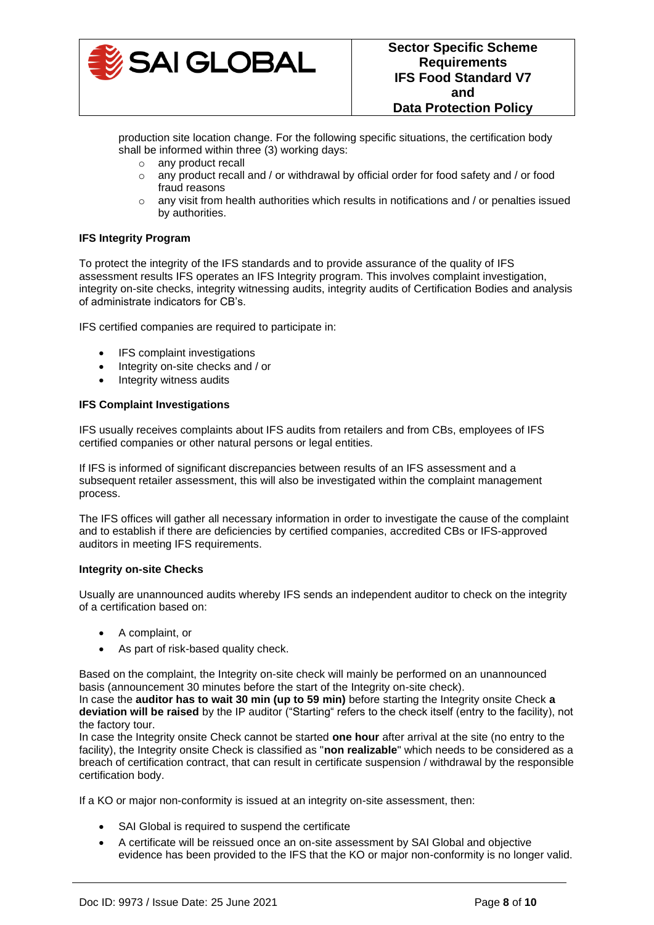

production site location change. For the following specific situations, the certification body shall be informed within three (3) working days:

- o any product recall
- $\circ$  any product recall and / or withdrawal by official order for food safety and / or food fraud reasons
- $\circ$  any visit from health authorities which results in notifications and / or penalties issued by authorities.

# **IFS Integrity Program**

To protect the integrity of the IFS standards and to provide assurance of the quality of IFS assessment results IFS operates an IFS Integrity program. This involves complaint investigation, integrity on-site checks, integrity witnessing audits, integrity audits of Certification Bodies and analysis of administrate indicators for CB's.

IFS certified companies are required to participate in:

- IFS complaint investigations
- Integrity on-site checks and / or
- Integrity witness audits

### **IFS Complaint Investigations**

IFS usually receives complaints about IFS audits from retailers and from CBs, employees of IFS certified companies or other natural persons or legal entities.

If IFS is informed of significant discrepancies between results of an IFS assessment and a subsequent retailer assessment, this will also be investigated within the complaint management process.

The IFS offices will gather all necessary information in order to investigate the cause of the complaint and to establish if there are deficiencies by certified companies, accredited CBs or IFS-approved auditors in meeting IFS requirements.

## **Integrity on-site Checks**

Usually are unannounced audits whereby IFS sends an independent auditor to check on the integrity of a certification based on:

- A complaint, or
- As part of risk-based quality check.

Based on the complaint, the Integrity on-site check will mainly be performed on an unannounced basis (announcement 30 minutes before the start of the Integrity on-site check).

In case the **auditor has to wait 30 min (up to 59 min)** before starting the Integrity onsite Check **a deviation will be raised** by the IP auditor ("Starting" refers to the check itself (entry to the facility), not the factory tour.

In case the Integrity onsite Check cannot be started **one hour** after arrival at the site (no entry to the facility), the Integrity onsite Check is classified as "**non realizable**" which needs to be considered as a breach of certification contract, that can result in certificate suspension / withdrawal by the responsible certification body.

If a KO or major non-conformity is issued at an integrity on-site assessment, then:

- SAI Global is required to suspend the certificate
- A certificate will be reissued once an on-site assessment by SAI Global and objective evidence has been provided to the IFS that the KO or major non-conformity is no longer valid.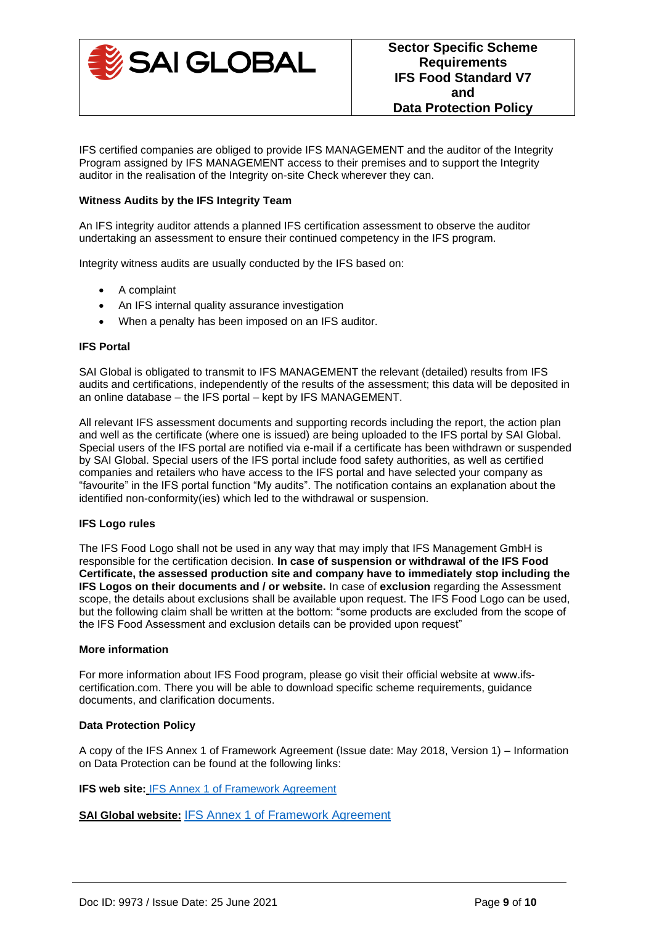

IFS certified companies are obliged to provide IFS MANAGEMENT and the auditor of the Integrity Program assigned by IFS MANAGEMENT access to their premises and to support the Integrity auditor in the realisation of the Integrity on-site Check wherever they can.

### **Witness Audits by the IFS Integrity Team**

An IFS integrity auditor attends a planned IFS certification assessment to observe the auditor undertaking an assessment to ensure their continued competency in the IFS program.

Integrity witness audits are usually conducted by the IFS based on:

- A complaint
- An IFS internal quality assurance investigation
- When a penalty has been imposed on an IFS auditor.

#### **IFS Portal**

SAI Global is obligated to transmit to IFS MANAGEMENT the relevant (detailed) results from IFS audits and certifications, independently of the results of the assessment; this data will be deposited in an online database – the IFS portal – kept by IFS MANAGEMENT.

All relevant IFS assessment documents and supporting records including the report, the action plan and well as the certificate (where one is issued) are being uploaded to the IFS portal by SAI Global. Special users of the IFS portal are notified via e-mail if a certificate has been withdrawn or suspended by SAI Global. Special users of the IFS portal include food safety authorities, as well as certified companies and retailers who have access to the IFS portal and have selected your company as "favourite" in the IFS portal function "My audits". The notification contains an explanation about the identified non-conformity(ies) which led to the withdrawal or suspension.

## **IFS Logo rules**

The IFS Food Logo shall not be used in any way that may imply that IFS Management GmbH is responsible for the certification decision. **In case of suspension or withdrawal of the IFS Food Certificate, the assessed production site and company have to immediately stop including the IFS Logos on their documents and / or website.** In case of **exclusion** regarding the Assessment scope, the details about exclusions shall be available upon request. The IFS Food Logo can be used, but the following claim shall be written at the bottom: "some products are excluded from the scope of the IFS Food Assessment and exclusion details can be provided upon request"

#### **More information**

For more information about IFS Food program, please go visit their official website at www.ifscertification.com. There you will be able to download specific scheme requirements, guidance documents, and clarification documents.

## **Data Protection Policy**

A copy of the IFS Annex 1 of Framework Agreement (Issue date: May 2018, Version 1) – Information on Data Protection can be found at the following links:

**IFS web site:** [IFS Annex 1 of Framework Agreement](https://www.ifs-certification.com/index.php/en/confidential-commitment) 

**SAI Global website:** [IFS Annex 1 of Framework Agreement](https://cdn.intelligencebank.com/au/share/lXEG/PXVE/REwrP/original/Annex+1+Framework+Agreement_Companies)